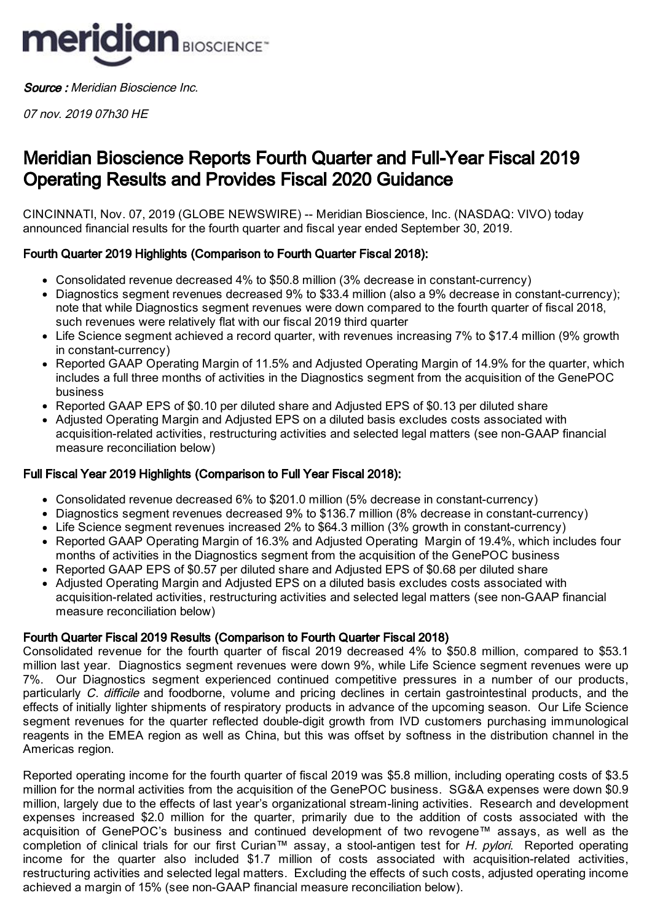

Source : Meridian Bioscience Inc.

07 nov. 2019 07h30 HE

# Meridian Bioscience Reports Fourth Quarter and Full-Year Fiscal 2019 Operating Results and Provides Fiscal 2020 Guidance

CINCINNATI, Nov. 07, 2019 (GLOBE NEWSWIRE) -- Meridian Bioscience, Inc. (NASDAQ: VIVO) today announced financial results for the fourth quarter and fiscal year ended September 30, 2019.

# Fourth Quarter 2019 Highlights (Comparison to Fourth Quarter Fiscal 2018):

- Consolidated revenue decreased 4% to \$50.8 million (3% decrease in constant-currency)
- Diagnostics segment revenues decreased 9% to \$33.4 million (also a 9% decrease in constant-currency); note that while Diagnostics segment revenues were down compared to the fourth quarter of fiscal 2018, such revenues were relatively flat with our fiscal 2019 third quarter
- Life Science segment achieved a record quarter, with revenues increasing 7% to \$17.4 million (9% growth in constant-currency)
- Reported GAAP Operating Margin of 11.5% and Adjusted Operating Margin of 14.9% for the quarter, which includes a full three months of activities in the Diagnostics segment from the acquisition of the GenePOC business
- Reported GAAP EPS of \$0.10 per diluted share and Adjusted EPS of \$0.13 per diluted share
- Adjusted Operating Margin and Adjusted EPS on a diluted basis excludes costs associated with acquisition-related activities, restructuring activities and selected legal matters (see non-GAAP financial measure reconciliation below)

# Full Fiscal Year 2019 Highlights (Comparison to Full Year Fiscal 2018):

- Consolidated revenue decreased 6% to \$201.0 million (5% decrease in constant-currency)
- Diagnostics segment revenues decreased 9% to \$136.7 million (8% decrease in constant-currency)
- Life Science segment revenues increased 2% to \$64.3 million (3% growth in constant-currency)
- Reported GAAP Operating Margin of 16.3% and Adjusted Operating Margin of 19.4%, which includes four months of activities in the Diagnostics segment from the acquisition of the GenePOC business
- Reported GAAP EPS of \$0.57 per diluted share and Adjusted EPS of \$0.68 per diluted share
- Adjusted Operating Margin and Adjusted EPS on a diluted basis excludes costs associated with acquisition-related activities, restructuring activities and selected legal matters (see non-GAAP financial measure reconciliation below)

## Fourth Quarter Fiscal 2019 Results (Comparison to Fourth Quarter Fiscal 2018)

Consolidated revenue for the fourth quarter of fiscal 2019 decreased 4% to \$50.8 million, compared to \$53.1 million last year. Diagnostics segment revenues were down 9%, while Life Science segment revenues were up 7%. Our Diagnostics segment experienced continued competitive pressures in a number of our products, particularly C. difficile and foodborne, volume and pricing declines in certain gastrointestinal products, and the effects of initially lighter shipments of respiratory products in advance of the upcoming season. Our Life Science segment revenues for the quarter reflected double-digit growth from IVD customers purchasing immunological reagents in the EMEA region as well as China, but this was offset by softness in the distribution channel in the Americas region.

Reported operating income for the fourth quarter of fiscal 2019 was \$5.8 million, including operating costs of \$3.5 million for the normal activities from the acquisition of the GenePOC business. SG&A expenses were down \$0.9 million, largely due to the effects of last year's organizational stream-lining activities. Research and development expenses increased \$2.0 million for the quarter, primarily due to the addition of costs associated with the acquisition of GenePOC's business and continued development of two revogene™ assays, as well as the completion of clinical trials for our first Curian™ assay, a stool-antigen test for H. pylori. Reported operating income for the quarter also included \$1.7 million of costs associated with acquisition-related activities, restructuring activities and selected legal matters. Excluding the effects of such costs, adjusted operating income achieved a margin of 15% (see non-GAAP financial measure reconciliation below).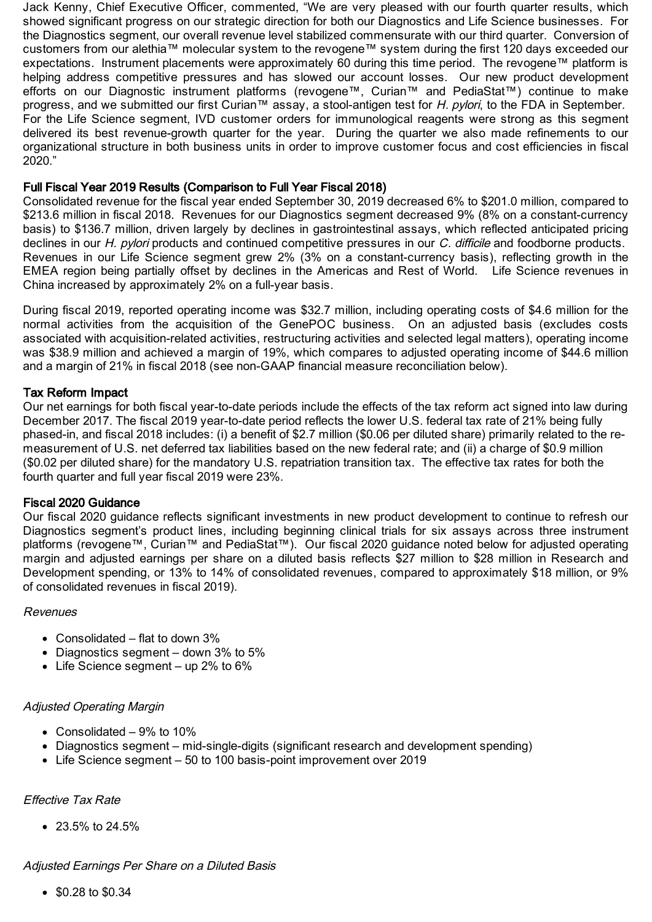Jack Kenny, Chief Executive Officer, commented, "We are very pleased with our fourth quarter results, which showed significant progress on our strategic direction for both our Diagnostics and Life Science businesses. For the Diagnostics segment, our overall revenue level stabilized commensurate with our third quarter. Conversion of customers from our alethia™ molecular system to the revogene™ system during the first 120 days exceeded our expectations. Instrument placements were approximately 60 during this time period. The revogene™ platform is helping address competitive pressures and has slowed our account losses. Our new product development efforts on our Diagnostic instrument platforms (revogene™, Curian™ and PediaStat™) continue to make progress, and we submitted our first Curian™ assay, a stool-antigen test for *H. pylori*, to the FDA in September. For the Life Science segment, IVD customer orders for immunological reagents were strong as this segment delivered its best revenue-growth quarter for the year. During the quarter we also made refinements to our organizational structure in both business units in order to improve customer focus and cost efficiencies in fiscal 2020."

#### Full Fiscal Year 2019 Results (Comparison to Full Year Fiscal 2018)

Consolidated revenue for the fiscal year ended September 30, 2019 decreased 6% to \$201.0 million, compared to \$213.6 million in fiscal 2018. Revenues for our Diagnostics segment decreased 9% (8% on a constant-currency basis) to \$136.7 million, driven largely by declines in gastrointestinal assays, which reflected anticipated pricing declines in our H. pylori products and continued competitive pressures in our C. difficile and foodborne products. Revenues in our Life Science segment grew 2% (3% on a constant-currency basis), reflecting growth in the EMEA region being partially offset by declines in the Americas and Rest of World. Life Science revenues in China increased by approximately 2% on a full-year basis.

During fiscal 2019, reported operating income was \$32.7 million, including operating costs of \$4.6 million for the normal activities from the acquisition of the GenePOC business. On an adjusted basis (excludes costs associated with acquisition-related activities, restructuring activities and selected legal matters), operating income was \$38.9 million and achieved a margin of 19%, which compares to adjusted operating income of \$44.6 million and a margin of 21% in fiscal 2018 (see non-GAAP financial measure reconciliation below).

#### Tax Reform Impact

Our net earnings for both fiscal year-to-date periods include the effects of the tax reform act signed into law during December 2017. The fiscal 2019 year-to-date period reflects the lower U.S. federal tax rate of 21% being fully phased-in, and fiscal 2018 includes: (i) a benefit of \$2.7 million (\$0.06 per diluted share) primarily related to the remeasurement of U.S. net deferred tax liabilities based on the new federal rate; and (ii) a charge of \$0.9 million (\$0.02 per diluted share) for the mandatory U.S. repatriation transition tax. The effective tax rates for both the fourth quarter and full year fiscal 2019 were 23%.

#### Fiscal 2020 Guidance

Our fiscal 2020 guidance reflects significant investments in new product development to continue to refresh our Diagnostics segment's product lines, including beginning clinical trials for six assays across three instrument platforms (revogene™, Curian™ and PediaStat™). Our fiscal 2020 guidance noted below for adjusted operating margin and adjusted earnings per share on a diluted basis reflects \$27 million to \$28 million in Research and Development spending, or 13% to 14% of consolidated revenues, compared to approximately \$18 million, or 9% of consolidated revenues in fiscal 2019).

#### Revenues

- Consolidated flat to down 3%
- Diagnostics segment  $-$  down 3% to 5%
- Life Science segment  $-$  up 2% to 6%

## Adjusted Operating Margin

- Consolidated 9% to 10%
- Diagnostics segment mid-single-digits (significant research and development spending)
- Life Science segment 50 to 100 basis-point improvement over 2019

# Effective Tax Rate

23.5% to 24.5%

#### Adjusted Earnings Per Share on <sup>a</sup> Diluted Basis

\$0.28 to \$0.34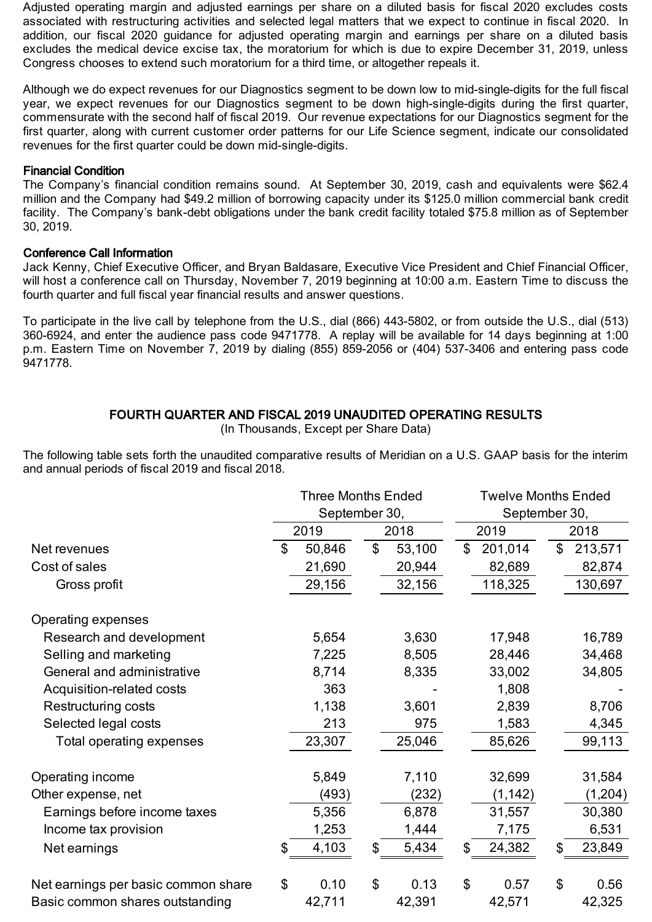Adjusted operating margin and adjusted earnings per share on a diluted basis for fiscal 2020 excludes costs associated with restructuring activities and selected legal matters that we expect to continue in fiscal 2020. In addition, our fiscal 2020 guidance for adjusted operating margin and earnings per share on a diluted basis excludes the medical device excise tax, the moratorium for which is due to expire December 31, 2019, unless Congress chooses to extend such moratorium for a third time, or altogether repeals it.

Although we do expect revenues for our Diagnostics segment to be down low to mid-single-digits for the full fiscal year, we expect revenues for our Diagnostics segment to be down high-single-digits during the first quarter, commensurate with the second half of fiscal 2019. Our revenue expectations for our Diagnostics segment for the first quarter, along with current customer order patterns for our Life Science segment, indicate our consolidated revenues for the first quarter could be down mid-single-digits.

## Financial Condition

The Company's financial condition remains sound. At September 30, 2019, cash and equivalents were \$62.4 million and the Company had \$49.2 million of borrowing capacity under its \$125.0 million commercial bank credit facility. The Company's bank-debt obligations under the bank credit facility totaled \$75.8 million as of September 30, 2019.

# Conference Call Information

Jack Kenny, Chief Executive Officer, and Bryan Baldasare, Executive Vice President and Chief Financial Officer, will host a conference call on Thursday, November 7, 2019 beginning at 10:00 a.m. Eastern Time to discuss the fourth quarter and full fiscal year financial results and answer questions.

To participate in the live call by telephone from the U.S., dial (866) 443-5802, or from outside the U.S., dial (513) 360-6924, and enter the audience pass code 9471778. A replay will be available for 14 days beginning at 1:00 p.m. Eastern Time on November 7, 2019 by dialing (855) 859-2056 or (404) 537-3406 and entering pass code 9471778.

# FOURTH QUARTER AND FISCAL 2019 UNAUDITED OPERATING RESULTS

(In Thousands, Except per Share Data)

The following table sets forth the unaudited comparative results of Meridian on a U.S. GAAP basis for the interim and annual periods of fiscal 2019 and fiscal 2018.

|                                     |               | <b>Three Months Ended</b> |    |        | <b>Twelve Months Ended</b> |               |    |         |  |  |
|-------------------------------------|---------------|---------------------------|----|--------|----------------------------|---------------|----|---------|--|--|
|                                     | September 30, |                           |    |        |                            | September 30, |    |         |  |  |
|                                     |               | 2019                      |    | 2018   |                            | 2019          |    | 2018    |  |  |
| Net revenues                        | \$            | 50,846                    | \$ | 53,100 | $\mathfrak{L}$             | 201,014       | \$ | 213,571 |  |  |
| Cost of sales                       |               | 21,690                    |    | 20,944 |                            | 82,689        |    | 82,874  |  |  |
| Gross profit                        |               | 29,156                    |    | 32,156 |                            | 118,325       |    | 130,697 |  |  |
| Operating expenses                  |               |                           |    |        |                            |               |    |         |  |  |
| Research and development            |               | 5,654                     |    | 3,630  |                            | 17,948        |    | 16,789  |  |  |
| Selling and marketing               |               | 7,225                     |    | 8,505  |                            | 28,446        |    | 34,468  |  |  |
| General and administrative          |               | 8,714                     |    | 8,335  |                            | 33,002        |    | 34,805  |  |  |
| Acquisition-related costs           |               | 363                       |    |        |                            | 1,808         |    |         |  |  |
| Restructuring costs                 |               | 1,138                     |    | 3,601  |                            | 2,839         |    | 8,706   |  |  |
| Selected legal costs                |               | 213                       |    | 975    |                            | 1,583         |    | 4,345   |  |  |
| Total operating expenses            |               | 23,307                    |    | 25,046 |                            | 85,626        |    | 99,113  |  |  |
| Operating income                    |               | 5,849                     |    | 7,110  |                            | 32,699        |    | 31,584  |  |  |
| Other expense, net                  |               | (493)                     |    | (232)  |                            | (1, 142)      |    | (1,204) |  |  |
| Earnings before income taxes        |               | 5,356                     |    | 6,878  |                            | 31,557        |    | 30,380  |  |  |
| Income tax provision                |               | 1,253                     |    | 1,444  |                            | 7,175         |    | 6,531   |  |  |
| Net earnings                        | \$            | 4,103                     | \$ | 5,434  | \$                         | 24,382        | \$ | 23,849  |  |  |
| Net earnings per basic common share | \$            | 0.10                      | \$ | 0.13   | \$                         | 0.57          | \$ | 0.56    |  |  |
| Basic common shares outstanding     |               | 42,711                    |    | 42,391 |                            | 42,571        |    | 42,325  |  |  |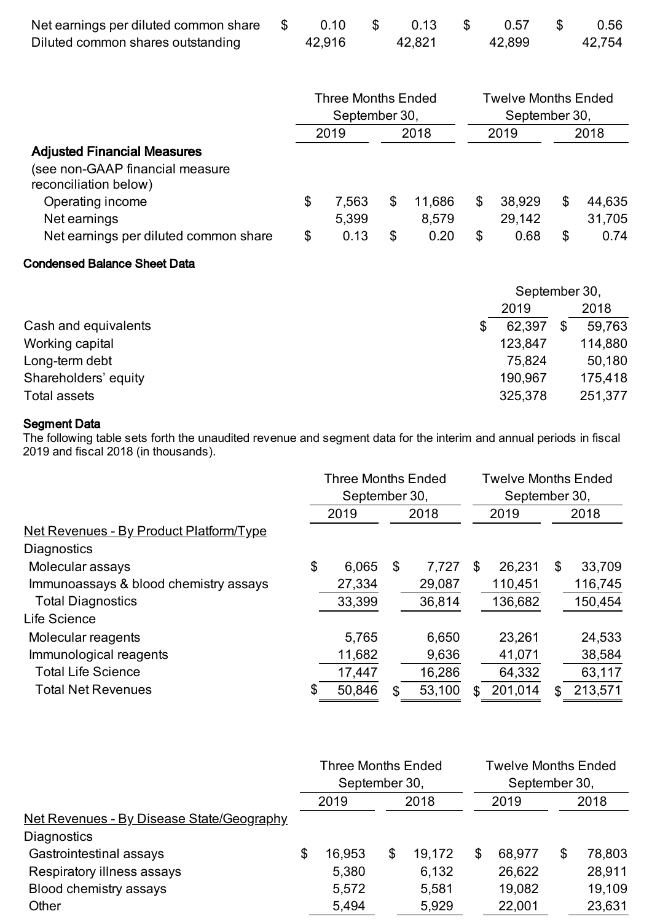| Net earnings per diluted common share \$ | 0.10   | - SS | 0.13   | <b>S</b> | 0.57   | 0.56   |
|------------------------------------------|--------|------|--------|----------|--------|--------|
| Diluted common shares outstanding        | 42,916 |      | 42,821 |          | 42,899 | 42,754 |

|                                                                                                                    | <b>Three Months Ended</b><br>September 30, |               |      |               |      | <b>Twelve Months Ended</b><br>September 30, |      |                |  |
|--------------------------------------------------------------------------------------------------------------------|--------------------------------------------|---------------|------|---------------|------|---------------------------------------------|------|----------------|--|
|                                                                                                                    | 2019                                       |               | 2018 |               | 2019 |                                             | 2018 |                |  |
| <b>Adjusted Financial Measures</b><br>(see non-GAAP financial measure<br>reconciliation below)<br>Operating income | \$                                         | 7,563         | S    | 11,686        | \$   | 38,929                                      | \$   | 44,635         |  |
| Net earnings<br>Net earnings per diluted common share                                                              | \$                                         | 5,399<br>0.13 | S    | 8,579<br>0.20 | \$   | 29,142<br>0.68                              | \$   | 31,705<br>0.74 |  |

# Condensed Balance Sheet Data

|                      |         | September 30, |         |  |  |  |
|----------------------|---------|---------------|---------|--|--|--|
|                      | 2019    |               | 2018    |  |  |  |
| Cash and equivalents | 62,397  |               | 59,763  |  |  |  |
| Working capital      | 123,847 |               | 114,880 |  |  |  |
| Long-term debt       | 75,824  |               | 50,180  |  |  |  |
| Shareholders' equity | 190,967 |               | 175,418 |  |  |  |
| Total assets         | 325,378 |               | 251,377 |  |  |  |

#### Segment Data

The following table sets forth the unaudited revenue and segment data for the interim and annual periods in fiscal 2019 and fiscal 2018 (in thousands).

|                                                | <b>Three Months Ended</b><br>September 30, |        |    |        |    | <b>Twelve Months Ended</b><br>September 30, |    |         |  |
|------------------------------------------------|--------------------------------------------|--------|----|--------|----|---------------------------------------------|----|---------|--|
|                                                |                                            | 2019   |    | 2018   |    | 2019                                        |    | 2018    |  |
| <u>Net Revenues - By Product Platform/Type</u> |                                            |        |    |        |    |                                             |    |         |  |
| Diagnostics                                    |                                            |        |    |        |    |                                             |    |         |  |
| Molecular assays                               | \$                                         | 6,065  | \$ | 7.727  | \$ | 26,231                                      | \$ | 33,709  |  |
| Immunoassays & blood chemistry assays          |                                            | 27,334 |    | 29,087 |    | 110,451                                     |    | 116,745 |  |
| <b>Total Diagnostics</b>                       |                                            | 33,399 |    | 36,814 |    | 136,682                                     |    | 150,454 |  |
| Life Science                                   |                                            |        |    |        |    |                                             |    |         |  |
| Molecular reagents                             |                                            | 5,765  |    | 6,650  |    | 23,261                                      |    | 24,533  |  |
| Immunological reagents                         |                                            | 11,682 |    | 9,636  |    | 41,071                                      |    | 38,584  |  |
| <b>Total Life Science</b>                      |                                            | 17,447 |    | 16,286 |    | 64,332                                      |    | 63,117  |  |
| <b>Total Net Revenues</b>                      | \$                                         | 50,846 | \$ | 53,100 | S  | 201,014                                     | \$ | 213,571 |  |

|                                                  | <b>Three Months Ended</b><br>September 30, |    |        |    | <b>Twelve Months Ended</b><br>September 30, |              |  |
|--------------------------------------------------|--------------------------------------------|----|--------|----|---------------------------------------------|--------------|--|
|                                                  | 2019                                       |    | 2018   |    | 2019                                        | 2018         |  |
| <u>Net Revenues - By Disease State/Geography</u> |                                            |    |        |    |                                             |              |  |
| <b>Diagnostics</b>                               |                                            |    |        |    |                                             |              |  |
| Gastrointestinal assays                          | \$<br>16,953                               | \$ | 19,172 | \$ | 68,977                                      | \$<br>78,803 |  |
| Respiratory illness assays                       | 5,380                                      |    | 6,132  |    | 26,622                                      | 28,911       |  |
| Blood chemistry assays                           | 5,572                                      |    | 5,581  |    | 19,082                                      | 19,109       |  |
| Other                                            | 5,494                                      |    | 5,929  |    | 22,001                                      | 23,631       |  |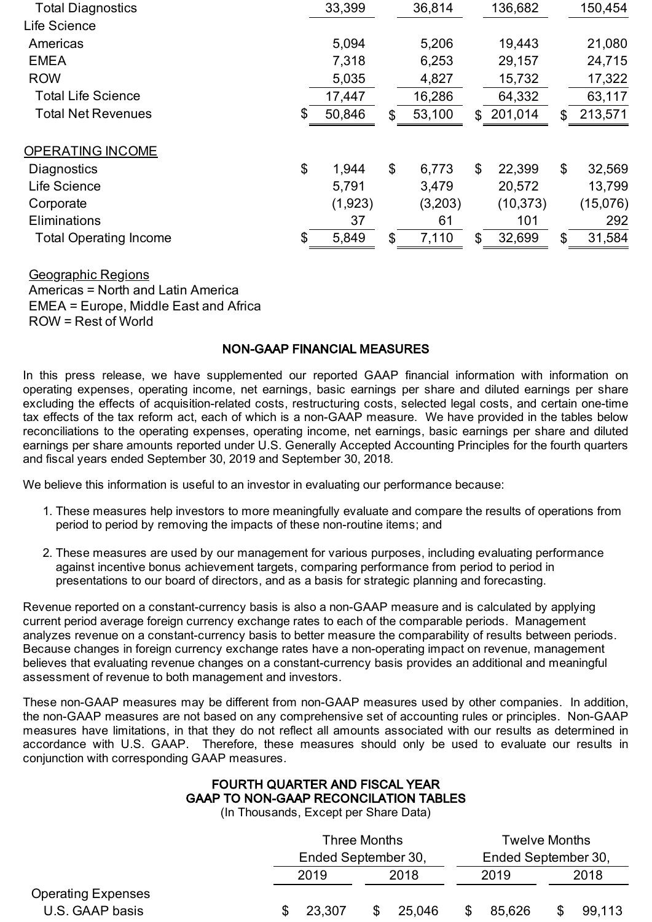| <b>Total Diagnostics</b>      | 33,399       |     | 36,814  |              | 136,682   | 150,454       |
|-------------------------------|--------------|-----|---------|--------------|-----------|---------------|
| Life Science                  |              |     |         |              |           |               |
| Americas                      | 5.094        |     | 5,206   |              | 19,443    | 21,080        |
| <b>EMEA</b>                   | 7,318        |     | 6,253   |              | 29,157    | 24,715        |
| <b>ROW</b>                    | 5,035        |     | 4,827   |              | 15,732    | 17,322        |
| <b>Total Life Science</b>     | 17,447       |     | 16,286  |              | 64,332    | 63,117        |
| <b>Total Net Revenues</b>     | \$<br>50,846 | \$. | 53,100  | \$           | 201,014   | \$<br>213,571 |
| OPERATING INCOME              |              |     |         |              |           |               |
| Diagnostics                   | \$<br>1,944  | \$  | 6,773   | $\mathbb{S}$ | 22,399    | \$<br>32,569  |
| Life Science                  | 5,791        |     | 3,479   |              | 20,572    | 13,799        |
| Corporate                     | (1,923)      |     | (3,203) |              | (10, 373) | (15,076)      |
| Eliminations                  | 37           |     | 61      |              | 101       | 292           |
| <b>Total Operating Income</b> | \$<br>5,849  | \$  | 7,110   | \$           | 32,699    | \$<br>31,584  |

Geographic Regions Americas = North and Latin America EMEA = Europe, Middle East and Africa ROW = Rest of World

#### NON-GAAP FINANCIAL MEASURES

In this press release, we have supplemented our reported GAAP financial information with information on operating expenses, operating income, net earnings, basic earnings per share and diluted earnings per share excluding the effects of acquisition-related costs, restructuring costs, selected legal costs, and certain one-time tax effects of the tax reform act, each of which is a non-GAAP measure. We have provided in the tables below reconciliations to the operating expenses, operating income, net earnings, basic earnings per share and diluted earnings per share amounts reported under U.S. Generally Accepted Accounting Principles for the fourth quarters and fiscal years ended September 30, 2019 and September 30, 2018.

We believe this information is useful to an investor in evaluating our performance because:

- 1. These measures help investors to more meaningfully evaluate and compare the results of operations from period to period by removing the impacts of these non-routine items; and
- 2. These measures are used by our management for various purposes, including evaluating performance against incentive bonus achievement targets, comparing performance from period to period in presentations to our board of directors, and as a basis for strategic planning and forecasting.

Revenue reported on a constant-currency basis is also a non-GAAP measure and is calculated by applying current period average foreign currency exchange rates to each of the comparable periods. Management analyzes revenue on a constant-currency basis to better measure the comparability of results between periods. Because changes in foreign currency exchange rates have a non-operating impact on revenue, management believes that evaluating revenue changes on a constant-currency basis provides an additional and meaningful assessment of revenue to both management and investors.

These non-GAAP measures may be different from non-GAAP measures used by other companies. In addition, the non-GAAP measures are not based on any comprehensive set of accounting rules or principles. Non-GAAP measures have limitations, in that they do not reflect all amounts associated with our results as determined in accordance with U.S. GAAP. Therefore, these measures should only be used to evaluate our results in conjunction with corresponding GAAP measures.

# FOURTH QUARTER AND FISCAL YEAR GAAP TO NON-GAAP RECONCILATION TABLES

(In Thousands, Except per Share Data)

|                           | Three Months        |    |                     |      | <b>Twelve Months</b> |      |        |
|---------------------------|---------------------|----|---------------------|------|----------------------|------|--------|
|                           | Ended September 30, |    | Ended September 30, |      |                      |      |        |
|                           | 2019                |    | 2018                | 2019 |                      | 2018 |        |
| <b>Operating Expenses</b> |                     |    |                     |      |                      |      |        |
| U.S. GAAP basis           | 23,307              | \$ | 25.046              |      | 85,626               |      | 99,113 |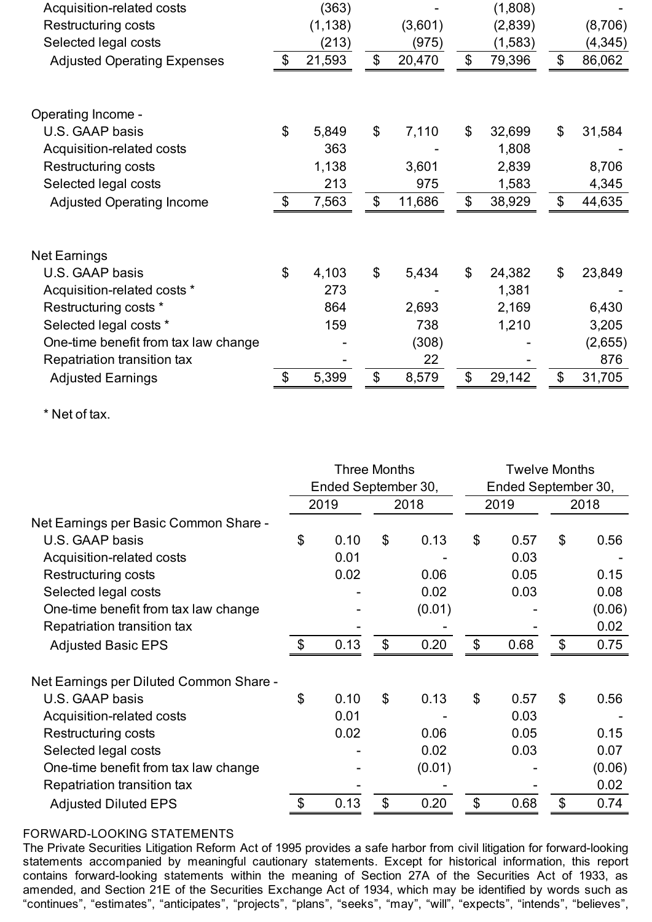| Acquisition-related costs            |                            | (363)    |                           |         |                | (1,808)  |                           |          |
|--------------------------------------|----------------------------|----------|---------------------------|---------|----------------|----------|---------------------------|----------|
| <b>Restructuring costs</b>           |                            | (1, 138) |                           | (3,601) |                | (2,839)  |                           | (8,706)  |
| Selected legal costs                 |                            | (213)    |                           | (975)   |                | (1, 583) |                           | (4, 345) |
| <b>Adjusted Operating Expenses</b>   | $\boldsymbol{\mathcal{S}}$ | 21,593   | $\boldsymbol{\mathsf{S}}$ | 20,470  | \$             | 79,396   | \$                        | 86,062   |
| Operating Income -                   |                            |          |                           |         |                |          |                           |          |
| U.S. GAAP basis                      | \$                         | 5,849    | $\mathcal{L}$             | 7,110   | \$             | 32,699   | \$                        | 31,584   |
| Acquisition-related costs            |                            | 363      |                           |         |                | 1,808    |                           |          |
| <b>Restructuring costs</b>           |                            | 1,138    |                           | 3,601   |                | 2,839    |                           | 8,706    |
| Selected legal costs                 |                            | 213      |                           | 975     |                | 1,583    |                           | 4,345    |
| <b>Adjusted Operating Income</b>     | $\$\$                      | 7,563    | \$                        | 11,686  | \$             | 38,929   | \$                        | 44,635   |
| <b>Net Earnings</b>                  |                            |          |                           |         |                |          |                           |          |
| U.S. GAAP basis                      | \$                         | 4,103    | $\boldsymbol{\mathsf{S}}$ | 5,434   | $\mathfrak{S}$ | 24,382   | \$                        | 23,849   |
| Acquisition-related costs *          |                            | 273      |                           |         |                | 1,381    |                           |          |
| Restructuring costs *                |                            | 864      |                           | 2,693   |                | 2,169    |                           | 6,430    |
| Selected legal costs *               |                            | 159      |                           | 738     |                | 1,210    |                           | 3,205    |
| One-time benefit from tax law change |                            |          |                           | (308)   |                |          |                           | (2,655)  |
| Repatriation transition tax          |                            |          |                           | 22      |                |          |                           | 876      |
| <b>Adjusted Earnings</b>             | \$                         | 5,399    | $\boldsymbol{\mathsf{S}}$ | 8,579   | \$             | 29,142   | $\boldsymbol{\mathsf{S}}$ | 31,705   |

\* Net of tax.

|                                         | Three Months<br>Ended September 30, |      |                           |        |                | <b>Twelve Months</b><br>Ended September 30, |                |        |  |
|-----------------------------------------|-------------------------------------|------|---------------------------|--------|----------------|---------------------------------------------|----------------|--------|--|
|                                         |                                     | 2019 | 2018                      |        | 2019           |                                             |                | 2018   |  |
| Net Earnings per Basic Common Share -   |                                     |      |                           |        |                |                                             |                |        |  |
| U.S. GAAP basis                         | \$                                  | 0.10 | $\boldsymbol{\mathsf{S}}$ | 0.13   | $\mathfrak{L}$ | 0.57                                        | \$             | 0.56   |  |
| Acquisition-related costs               |                                     | 0.01 |                           |        |                | 0.03                                        |                |        |  |
| <b>Restructuring costs</b>              |                                     | 0.02 |                           | 0.06   |                | 0.05                                        |                | 0.15   |  |
| Selected legal costs                    |                                     |      |                           | 0.02   |                | 0.03                                        |                | 0.08   |  |
| One-time benefit from tax law change    |                                     |      |                           | (0.01) |                |                                             |                | (0.06) |  |
| Repatriation transition tax             |                                     |      |                           |        |                |                                             |                | 0.02   |  |
| <b>Adjusted Basic EPS</b>               | $\mathfrak{L}$                      | 0.13 | $\mathcal{S}$             | 0.20   | $\mathcal{L}$  | 0.68                                        | $\mathfrak{L}$ | 0.75   |  |
| Net Earnings per Diluted Common Share - |                                     |      |                           |        |                |                                             |                |        |  |
| U.S. GAAP basis                         | \$                                  | 0.10 | $\mathcal{S}$             | 0.13   | $\mathcal{L}$  | 0.57                                        | $\mathfrak{S}$ | 0.56   |  |
| Acquisition-related costs               |                                     | 0.01 |                           |        |                | 0.03                                        |                |        |  |
| Restructuring costs                     |                                     | 0.02 |                           | 0.06   |                | 0.05                                        |                | 0.15   |  |
| Selected legal costs                    |                                     |      |                           | 0.02   |                | 0.03                                        |                | 0.07   |  |
| One-time benefit from tax law change    |                                     |      |                           | (0.01) |                |                                             |                | (0.06) |  |
| Repatriation transition tax             |                                     |      |                           |        |                |                                             |                | 0.02   |  |
| <b>Adjusted Diluted EPS</b>             | \$                                  | 0.13 | $\boldsymbol{\mathsf{S}}$ | 0.20   | \$             | 0.68                                        | \$             | 0.74   |  |

# FORWARD-LOOKING STATEMENTS

The Private Securities Litigation Reform Act of 1995 provides a safe harbor from civil litigation for forward-looking statements accompanied by meaningful cautionary statements. Except for historical information, this report contains forward-looking statements within the meaning of Section 27A of the Securities Act of 1933, as amended, and Section 21E of the Securities Exchange Act of 1934, which may be identified by words such as "continues", "estimates", "anticipates", "projects", "plans", "seeks", "may", "will", "expects", "intends", "believes",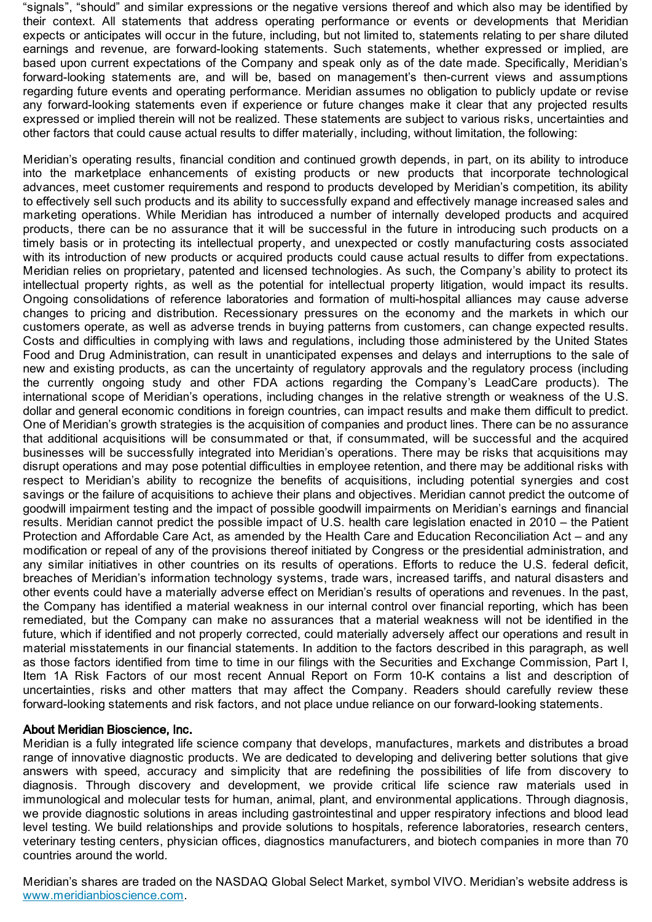"signals", "should" and similar expressions or the negative versions thereof and which also may be identified by their context. All statements that address operating performance or events or developments that Meridian expects or anticipates will occur in the future, including, but not limited to, statements relating to per share diluted earnings and revenue, are forward-looking statements. Such statements, whether expressed or implied, are based upon current expectations of the Company and speak only as of the date made. Specifically, Meridian's forward-looking statements are, and will be, based on management's then-current views and assumptions regarding future events and operating performance. Meridian assumes no obligation to publicly update or revise any forward-looking statements even if experience or future changes make it clear that any projected results expressed or implied therein will not be realized. These statements are subject to various risks, uncertainties and other factors that could cause actual results to differ materially, including, without limitation, the following:

Meridian's operating results, financial condition and continued growth depends, in part, on its ability to introduce into the marketplace enhancements of existing products or new products that incorporate technological advances, meet customer requirements and respond to products developed by Meridian's competition, its ability to effectively sell such products and its ability to successfully expand and effectively manage increased sales and marketing operations. While Meridian has introduced a number of internally developed products and acquired products, there can be no assurance that it will be successful in the future in introducing such products on a timely basis or in protecting its intellectual property, and unexpected or costly manufacturing costs associated with its introduction of new products or acquired products could cause actual results to differ from expectations. Meridian relies on proprietary, patented and licensed technologies. As such, the Company's ability to protect its intellectual property rights, as well as the potential for intellectual property litigation, would impact its results. Ongoing consolidations of reference laboratories and formation of multi-hospital alliances may cause adverse changes to pricing and distribution. Recessionary pressures on the economy and the markets in which our customers operate, as well as adverse trends in buying patterns from customers, can change expected results. Costs and difficulties in complying with laws and regulations, including those administered by the United States Food and Drug Administration, can result in unanticipated expenses and delays and interruptions to the sale of new and existing products, as can the uncertainty of regulatory approvals and the regulatory process (including the currently ongoing study and other FDA actions regarding the Company's LeadCare products). The international scope of Meridian's operations, including changes in the relative strength or weakness of the U.S. dollar and general economic conditions in foreign countries, can impact results and make them difficult to predict. One of Meridian's growth strategies is the acquisition of companies and product lines. There can be no assurance that additional acquisitions will be consummated or that, if consummated, will be successful and the acquired businesses will be successfully integrated into Meridian's operations. There may be risks that acquisitions may disrupt operations and may pose potential difficulties in employee retention, and there may be additional risks with respect to Meridian's ability to recognize the benefits of acquisitions, including potential synergies and cost savings or the failure of acquisitions to achieve their plans and objectives. Meridian cannot predict the outcome of goodwill impairment testing and the impact of possible goodwill impairments on Meridian's earnings and financial results. Meridian cannot predict the possible impact of U.S. health care legislation enacted in 2010 – the Patient Protection and Affordable Care Act, as amended by the Health Care and Education Reconciliation Act – and any modification or repeal of any of the provisions thereof initiated by Congress or the presidential administration, and any similar initiatives in other countries on its results of operations. Efforts to reduce the U.S. federal deficit, breaches of Meridian's information technology systems, trade wars, increased tariffs, and natural disasters and other events could have a materially adverse effect on Meridian's results of operations and revenues. In the past, the Company has identified a material weakness in our internal control over financial reporting, which has been remediated, but the Company can make no assurances that a material weakness will not be identified in the future, which if identified and not properly corrected, could materially adversely affect our operations and result in material misstatements in our financial statements. In addition to the factors described in this paragraph, as well as those factors identified from time to time in our filings with the Securities and Exchange Commission, Part I, Item 1A Risk Factors of our most recent Annual Report on Form 10-K contains a list and description of uncertainties, risks and other matters that may affect the Company. Readers should carefully review these forward-looking statements and risk factors, and not place undue reliance on our forward-looking statements.

## About Meridian Bioscience, Inc.

Meridian is a fully integrated life science company that develops, manufactures, markets and distributes a broad range of innovative diagnostic products. We are dedicated to developing and delivering better solutions that give answers with speed, accuracy and simplicity that are redefining the possibilities of life from discovery to diagnosis. Through discovery and development, we provide critical life science raw materials used in immunological and molecular tests for human, animal, plant, and environmental applications. Through diagnosis, we provide diagnostic solutions in areas including gastrointestinal and upper respiratory infections and blood lead level testing. We build relationships and provide solutions to hospitals, reference laboratories, research centers, veterinary testing centers, physician offices, diagnostics manufacturers, and biotech companies in more than 70 countries around the world.

Meridian's shares are traded on the NASDAQ Global Select Market, symbol VIVO. Meridian's website address is [www.meridianbioscience.com](https://www.globenewswire.com/Tracker?data=KCJyEbglMawXGBf7g9KWv8Q9zyJmIO_N9JjXMrT3hIqd0eH5gutcO4Xn59uWJVFz2yDHxe1ThJy8940WKNiSTsq1LTrxkoZOWqYmFdduphHIzKmHJ07IduFzOeJ8Mxa1).